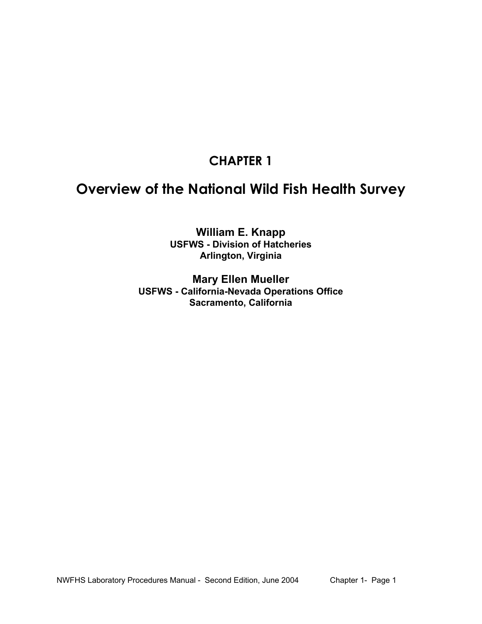# **CHAPTER 1**

# **Overview of the National Wild Fish Health Survey**

**William E. Knapp USFWS - Division of Hatcheries Arlington, Virginia** 

**Mary Ellen Mueller USFWS - California-Nevada Operations Office Sacramento, California**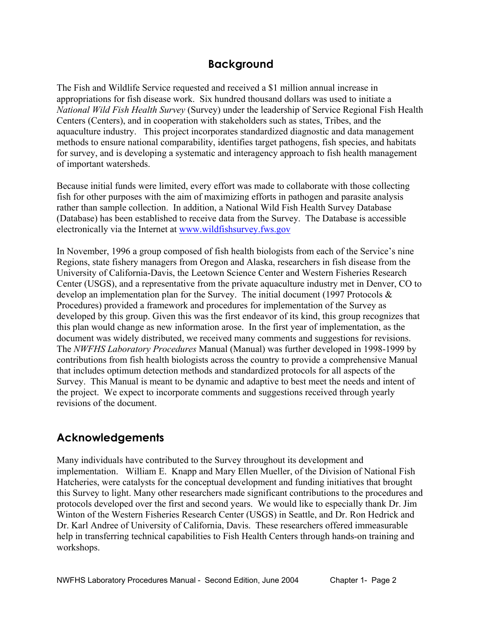### **Background**

The Fish and Wildlife Service requested and received a \$1 million annual increase in appropriations for fish disease work. Six hundred thousand dollars was used to initiate a *National Wild Fish Health Survey* (Survey) under the leadership of Service Regional Fish Health Centers (Centers), and in cooperation with stakeholders such as states, Tribes, and the aquaculture industry. This project incorporates standardized diagnostic and data management methods to ensure national comparability, identifies target pathogens, fish species, and habitats for survey, and is developing a systematic and interagency approach to fish health management of important watersheds.

Because initial funds were limited, every effort was made to collaborate with those collecting fish for other purposes with the aim of maximizing efforts in pathogen and parasite analysis rather than sample collection. In addition, a National Wild Fish Health Survey Database (Database) has been established to receive data from the Survey. The Database is accessible electronically via the Internet at www.wildfishsurvey.fws.gov

In November, 1996 a group composed of fish health biologists from each of the Service's nine Regions, state fishery managers from Oregon and Alaska, researchers in fish disease from the University of California-Davis, the Leetown Science Center and Western Fisheries Research Center (USGS), and a representative from the private aquaculture industry met in Denver, CO to develop an implementation plan for the Survey. The initial document (1997 Protocols & Procedures) provided a framework and procedures for implementation of the Survey as developed by this group. Given this was the first endeavor of its kind, this group recognizes that this plan would change as new information arose. In the first year of implementation, as the document was widely distributed, we received many comments and suggestions for revisions. The *NWFHS Laboratory Procedures* Manual (Manual) was further developed in 1998-1999 by contributions from fish health biologists across the country to provide a comprehensive Manual that includes optimum detection methods and standardized protocols for all aspects of the Survey. This Manual is meant to be dynamic and adaptive to best meet the needs and intent of the project. We expect to incorporate comments and suggestions received through yearly revisions of the document.

## **Acknowledgements**

Many individuals have contributed to the Survey throughout its development and implementation. William E. Knapp and Mary Ellen Mueller, of the Division of National Fish Hatcheries, were catalysts for the conceptual development and funding initiatives that brought this Survey to light. Many other researchers made significant contributions to the procedures and protocols developed over the first and second years. We would like to especially thank Dr. Jim Winton of the Western Fisheries Research Center (USGS) in Seattle, and Dr. Ron Hedrick and Dr. Karl Andree of University of California, Davis. These researchers offered immeasurable help in transferring technical capabilities to Fish Health Centers through hands-on training and workshops.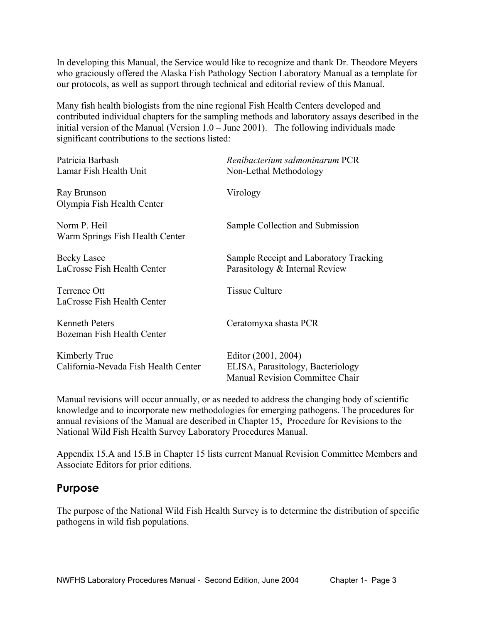In developing this Manual, the Service would like to recognize and thank Dr. Theodore Meyers who graciously offered the Alaska Fish Pathology Section Laboratory Manual as a template for our protocols, as well as support through technical and editorial review of this Manual.

Many fish health biologists from the nine regional Fish Health Centers developed and contributed individual chapters for the sampling methods and laboratory assays described in the initial version of the Manual (Version 1.0 – June 2001). The following individuals made significant contributions to the sections listed:

| Patricia Barbash<br>Lamar Fish Health Unit            | Renibacterium salmoninarum PCR<br>Non-Lethal Methodology                                    |  |
|-------------------------------------------------------|---------------------------------------------------------------------------------------------|--|
| Ray Brunson<br>Olympia Fish Health Center             | Virology                                                                                    |  |
| Norm P. Heil<br>Warm Springs Fish Health Center       | Sample Collection and Submission                                                            |  |
| Becky Lasee<br>LaCrosse Fish Health Center            | Sample Receipt and Laboratory Tracking<br>Parasitology & Internal Review                    |  |
| Terrence Ott<br>LaCrosse Fish Health Center           | <b>Tissue Culture</b>                                                                       |  |
| <b>Kenneth Peters</b><br>Bozeman Fish Health Center   | Ceratomyxa shasta PCR                                                                       |  |
| Kimberly True<br>California-Nevada Fish Health Center | Editor (2001, 2004)<br>ELISA, Parasitology, Bacteriology<br>Manual Revision Committee Chair |  |

Manual revisions will occur annually, or as needed to address the changing body of scientific knowledge and to incorporate new methodologies for emerging pathogens. The procedures for annual revisions of the Manual are described in Chapter 15, Procedure for Revisions to the National Wild Fish Health Survey Laboratory Procedures Manual.

Appendix 15.A and 15.B in Chapter 15 lists current Manual Revision Committee Members and Associate Editors for prior editions.

### **Purpose**

The purpose of the National Wild Fish Health Survey is to determine the distribution of specific pathogens in wild fish populations.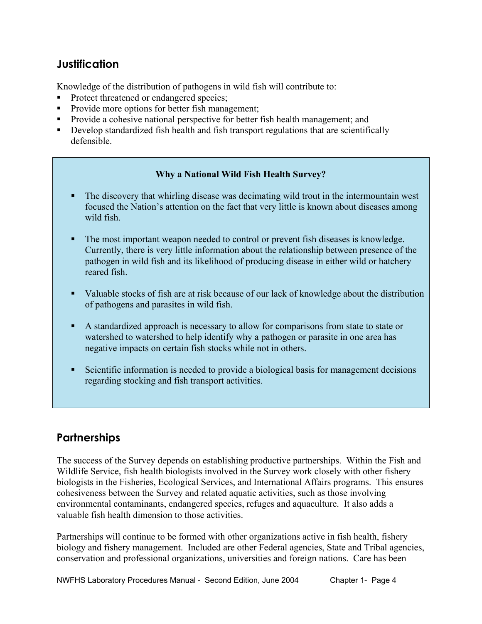### **Justification**

Knowledge of the distribution of pathogens in wild fish will contribute to:

- Protect threatened or endangered species;
- Provide more options for better fish management;
- Provide a cohesive national perspective for better fish health management; and
- Develop standardized fish health and fish transport regulations that are scientifically defensible.

#### **Why a National Wild Fish Health Survey?**

- The discovery that whirling disease was decimating wild trout in the intermountain west focused the Nation's attention on the fact that very little is known about diseases among wild fish.
- The most important weapon needed to control or prevent fish diseases is knowledge. Currently, there is very little information about the relationship between presence of the pathogen in wild fish and its likelihood of producing disease in either wild or hatchery reared fish.
- Valuable stocks of fish are at risk because of our lack of knowledge about the distribution of pathogens and parasites in wild fish.
- A standardized approach is necessary to allow for comparisons from state to state or watershed to watershed to help identify why a pathogen or parasite in one area has negative impacts on certain fish stocks while not in others.
- Scientific information is needed to provide a biological basis for management decisions regarding stocking and fish transport activities.

## **Partnerships**

The success of the Survey depends on establishing productive partnerships. Within the Fish and Wildlife Service, fish health biologists involved in the Survey work closely with other fishery biologists in the Fisheries, Ecological Services, and International Affairs programs. This ensures cohesiveness between the Survey and related aquatic activities, such as those involving environmental contaminants, endangered species, refuges and aquaculture. It also adds a valuable fish health dimension to those activities.

Partnerships will continue to be formed with other organizations active in fish health, fishery biology and fishery management. Included are other Federal agencies, State and Tribal agencies, conservation and professional organizations, universities and foreign nations. Care has been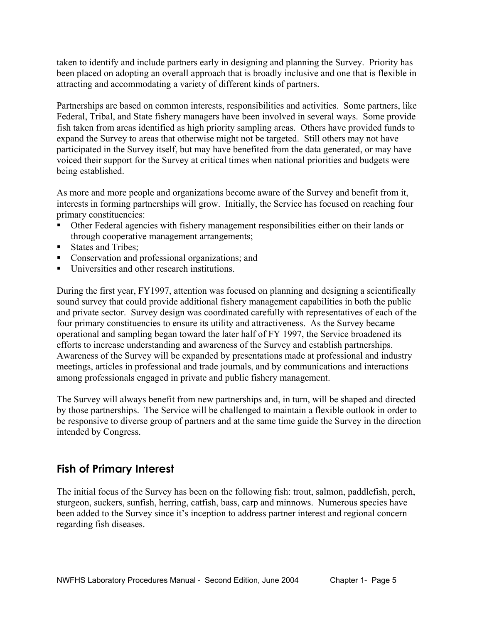taken to identify and include partners early in designing and planning the Survey. Priority has been placed on adopting an overall approach that is broadly inclusive and one that is flexible in attracting and accommodating a variety of different kinds of partners.

Partnerships are based on common interests, responsibilities and activities. Some partners, like Federal, Tribal, and State fishery managers have been involved in several ways. Some provide fish taken from areas identified as high priority sampling areas. Others have provided funds to expand the Survey to areas that otherwise might not be targeted. Still others may not have participated in the Survey itself, but may have benefited from the data generated, or may have voiced their support for the Survey at critical times when national priorities and budgets were being established.

As more and more people and organizations become aware of the Survey and benefit from it, interests in forming partnerships will grow. Initially, the Service has focused on reaching four primary constituencies:

- Other Federal agencies with fishery management responsibilities either on their lands or through cooperative management arrangements;
- States and Tribes;
- **Conservation and professional organizations; and**
- Universities and other research institutions.

During the first year, FY1997, attention was focused on planning and designing a scientifically sound survey that could provide additional fishery management capabilities in both the public and private sector. Survey design was coordinated carefully with representatives of each of the four primary constituencies to ensure its utility and attractiveness. As the Survey became operational and sampling began toward the later half of FY 1997, the Service broadened its efforts to increase understanding and awareness of the Survey and establish partnerships. Awareness of the Survey will be expanded by presentations made at professional and industry meetings, articles in professional and trade journals, and by communications and interactions among professionals engaged in private and public fishery management.

The Survey will always benefit from new partnerships and, in turn, will be shaped and directed by those partnerships. The Service will be challenged to maintain a flexible outlook in order to be responsive to diverse group of partners and at the same time guide the Survey in the direction intended by Congress.

### **Fish of Primary Interest**

The initial focus of the Survey has been on the following fish: trout, salmon, paddlefish, perch, sturgeon, suckers, sunfish, herring, catfish, bass, carp and minnows. Numerous species have been added to the Survey since it's inception to address partner interest and regional concern regarding fish diseases.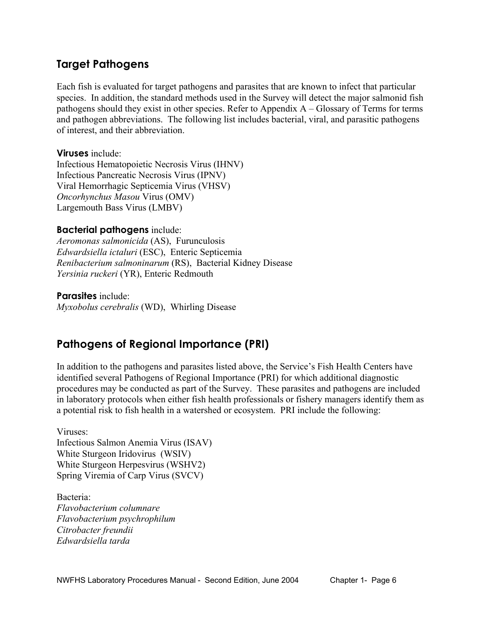### **Target Pathogens**

Each fish is evaluated for target pathogens and parasites that are known to infect that particular species. In addition, the standard methods used in the Survey will detect the major salmonid fish pathogens should they exist in other species. Refer to Appendix A – Glossary of Terms for terms and pathogen abbreviations. The following list includes bacterial, viral, and parasitic pathogens of interest, and their abbreviation.

**Viruses** include:

Infectious Hematopoietic Necrosis Virus (IHNV) Infectious Pancreatic Necrosis Virus (IPNV) Viral Hemorrhagic Septicemia Virus (VHSV) *Oncorhynchus Masou* Virus (OMV) Largemouth Bass Virus (LMBV)

#### **Bacterial pathogens** include:

*Aeromonas salmonicida* (AS), Furunculosis *Edwardsiella ictaluri* (ESC), Enteric Septicemia *Renibacterium salmoninarum* (RS), Bacterial Kidney Disease *Yersinia ruckeri* (YR), Enteric Redmouth

**Parasites** include: *Myxobolus cerebralis* (WD), Whirling Disease

## **Pathogens of Regional Importance (PRI)**

In addition to the pathogens and parasites listed above, the Service's Fish Health Centers have identified several Pathogens of Regional Importance (PRI) for which additional diagnostic procedures may be conducted as part of the Survey. These parasites and pathogens are included in laboratory protocols when either fish health professionals or fishery managers identify them as a potential risk to fish health in a watershed or ecosystem. PRI include the following:

Viruses: Infectious Salmon Anemia Virus (ISAV) White Sturgeon Iridovirus (WSIV) White Sturgeon Herpesvirus (WSHV2) Spring Viremia of Carp Virus (SVCV)

Bacteria: *Flavobacterium columnare Flavobacterium psychrophilum Citrobacter freundii Edwardsiella tarda*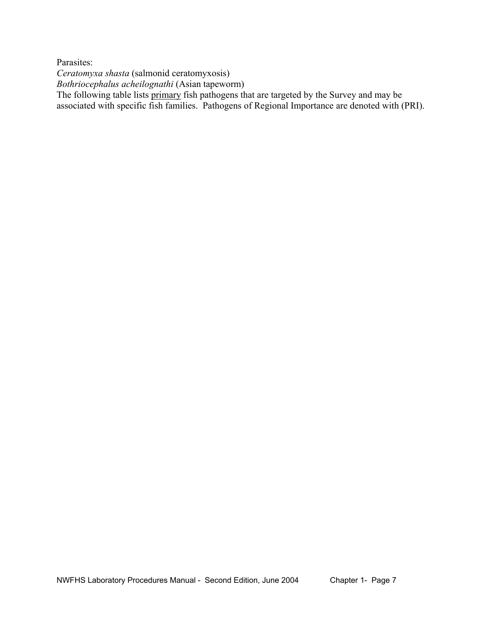Parasites:

*Ceratomyxa shasta* (salmonid ceratomyxosis)

*Bothriocephalus acheilognathi* (Asian tapeworm)

The following table lists primary fish pathogens that are targeted by the Survey and may be associated with specific fish families. Pathogens of Regional Importance are denoted with (PRI).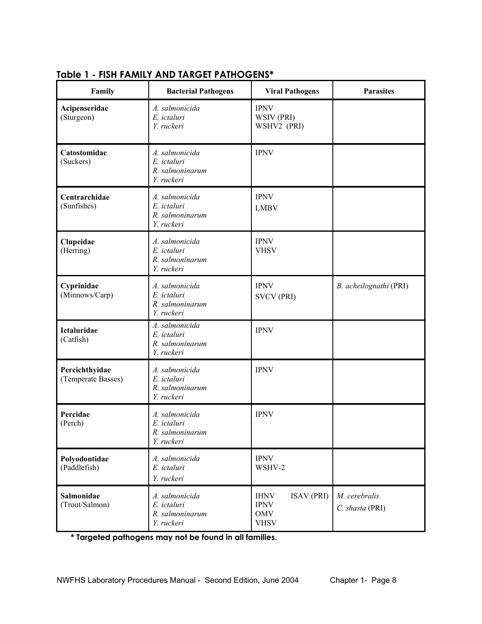| Family                               | <b>Bacterial Pathogens</b>                                     | <b>Viral Pathogens</b>                                                       | <b>Parasites</b>                 |
|--------------------------------------|----------------------------------------------------------------|------------------------------------------------------------------------------|----------------------------------|
| Acipenseridae<br>(Sturgeon)          | A. salmonicida<br>E. ictaluri<br>Y. ruckeri                    | <b>IPNV</b><br>WSIV (PRI)<br>WSHV2 (PRI)                                     |                                  |
| Catostomidae<br>(Suckers)            | A. salmonicida<br>E. ictaluri<br>R. salmoninarum<br>Y. ruckeri | <b>IPNV</b>                                                                  |                                  |
| Centrarchidae<br>(Sunfishes)         | A. salmonicida<br>E. ictaluri<br>R. salmoninarum<br>Y. ruckeri | <b>IPNV</b><br><b>LMBV</b>                                                   |                                  |
| Clupeidae<br>(Herring)               | A. salmonicida<br>E. ictaluri<br>R. salmoninarum<br>Y. ruckeri | <b>IPNV</b><br><b>VHSV</b>                                                   |                                  |
| Cyprinidae<br>(Minnows/Carp)         | A. salmonicida<br>E. ictaluri<br>R. salmoninarum<br>Y. ruckeri | <b>IPNV</b><br><b>SVCV (PRI)</b>                                             | B. acheilognathi (PRI)           |
| Ictaluridae<br>(Catfish)             | A. salmonicida<br>E. ictaluri<br>R. salmoninarum<br>Y. ruckeri | <b>IPNV</b>                                                                  |                                  |
| Percichthyidae<br>(Temperate Basses) | A. salmonicida<br>E. ictaluri<br>R. salmoninarum<br>Y. ruckeri | <b>IPNV</b>                                                                  |                                  |
| Percidae<br>(Perch)                  | A. salmonicida<br>E. ictaluri<br>R salmoninarum<br>Y. ruckeri  | <b>IPNV</b>                                                                  |                                  |
| Polyodontidae<br>(Paddlefish)        | A. salmonicida<br>E. ictaluri<br>Y. ruckeri                    | <b>IPNV</b><br>WSHV-2                                                        |                                  |
| Salmonidae<br>(Trout/Salmon)         | A. salmonicida<br>E. ictaluri<br>R. salmoninarum<br>Y. ruckeri | <b>ISAV (PRI)</b><br><b>IHNV</b><br><b>IPNV</b><br><b>OMV</b><br><b>VHSV</b> | M. cerebralis<br>C. shasta (PRI) |

### **Table 1 - FISH FAMILY AND TARGET PATHOGENS\***

**\* Targeted pathogens may not be found in all families.**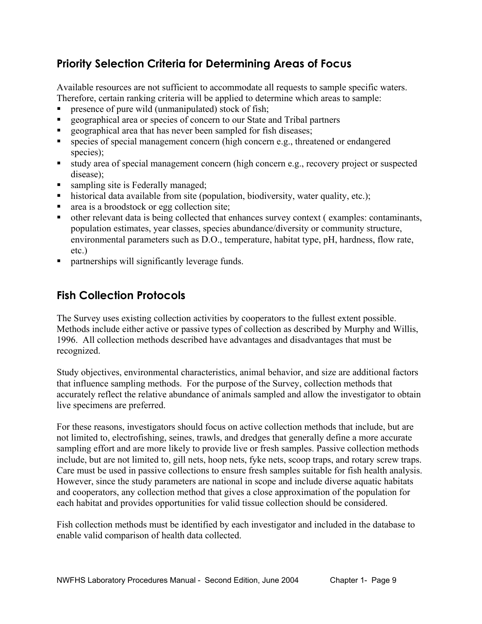# **Priority Selection Criteria for Determining Areas of Focus**

Available resources are not sufficient to accommodate all requests to sample specific waters. Therefore, certain ranking criteria will be applied to determine which areas to sample:

- presence of pure wild (unmanipulated) stock of fish;
- geographical area or species of concern to our State and Tribal partners
- **Exercise 1** geographical area that has never been sampled for fish diseases;
- species of special management concern (high concern e.g., threatened or endangered species);
- study area of special management concern (high concern e.g., recovery project or suspected disease);
- sampling site is Federally managed;
- historical data available from site (population, biodiversity, water quality, etc.);
- area is a broodstock or egg collection site;
- other relevant data is being collected that enhances survey context ( examples: contaminants, population estimates, year classes, species abundance/diversity or community structure, environmental parameters such as D.O., temperature, habitat type, pH, hardness, flow rate, etc.)
- **•** partnerships will significantly leverage funds.

### **Fish Collection Protocols**

The Survey uses existing collection activities by cooperators to the fullest extent possible. Methods include either active or passive types of collection as described by Murphy and Willis, 1996. All collection methods described have advantages and disadvantages that must be recognized.

Study objectives, environmental characteristics, animal behavior, and size are additional factors that influence sampling methods. For the purpose of the Survey, collection methods that accurately reflect the relative abundance of animals sampled and allow the investigator to obtain live specimens are preferred.

For these reasons, investigators should focus on active collection methods that include, but are not limited to, electrofishing, seines, trawls, and dredges that generally define a more accurate sampling effort and are more likely to provide live or fresh samples. Passive collection methods include, but are not limited to, gill nets, hoop nets, fyke nets, scoop traps, and rotary screw traps. Care must be used in passive collections to ensure fresh samples suitable for fish health analysis. However, since the study parameters are national in scope and include diverse aquatic habitats and cooperators, any collection method that gives a close approximation of the population for each habitat and provides opportunities for valid tissue collection should be considered.

Fish collection methods must be identified by each investigator and included in the database to enable valid comparison of health data collected.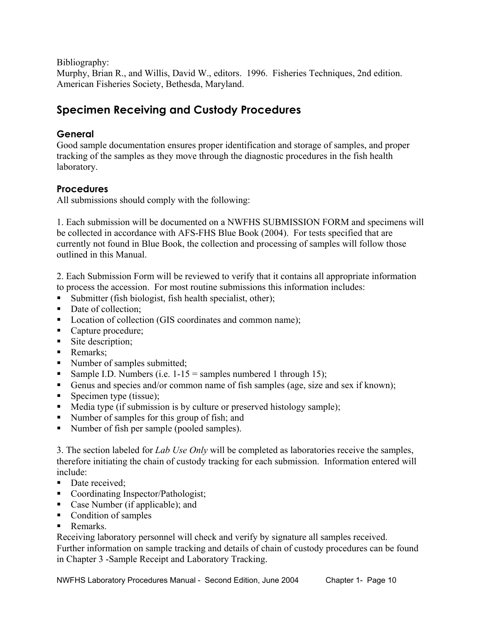Bibliography:

Murphy, Brian R., and Willis, David W., editors. 1996. Fisheries Techniques, 2nd edition. American Fisheries Society, Bethesda, Maryland.

# **Specimen Receiving and Custody Procedures**

#### **General**

Good sample documentation ensures proper identification and storage of samples, and proper tracking of the samples as they move through the diagnostic procedures in the fish health laboratory.

### **Procedures**

All submissions should comply with the following:

1. Each submission will be documented on a NWFHS SUBMISSION FORM and specimens will be collected in accordance with AFS-FHS Blue Book (2004). For tests specified that are currently not found in Blue Book, the collection and processing of samples will follow those outlined in this Manual.

2. Each Submission Form will be reviewed to verify that it contains all appropriate information to process the accession. For most routine submissions this information includes:

- Submitter (fish biologist, fish health specialist, other);
- Date of collection:
- Location of collection (GIS coordinates and common name);
- Capture procedure;
- Site description;
- Remarks;
- Number of samples submitted;
- Sample I.D. Numbers (i.e.  $1-15$  = samples numbered 1 through 15);
- Genus and species and/or common name of fish samples (age, size and sex if known);
- Specimen type (tissue);
- Media type (if submission is by culture or preserved histology sample);
- Number of samples for this group of fish; and
- Number of fish per sample (pooled samples).

3. The section labeled for *Lab Use Only* will be completed as laboratories receive the samples, therefore initiating the chain of custody tracking for each submission. Information entered will include:

- Date received:
- Coordinating Inspector/Pathologist;
- Case Number (if applicable); and
- Condition of samples
- **Remarks**

Receiving laboratory personnel will check and verify by signature all samples received. Further information on sample tracking and details of chain of custody procedures can be found in Chapter 3 -Sample Receipt and Laboratory Tracking.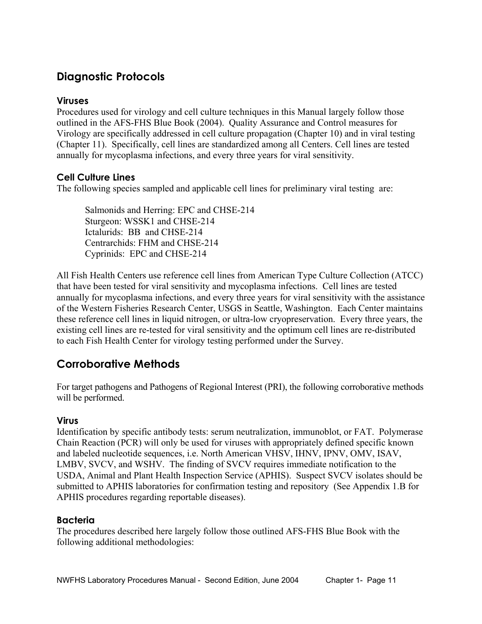# **Diagnostic Protocols**

#### **Viruses**

Procedures used for virology and cell culture techniques in this Manual largely follow those outlined in the AFS-FHS Blue Book (2004). Quality Assurance and Control measures for Virology are specifically addressed in cell culture propagation (Chapter 10) and in viral testing (Chapter 11). Specifically, cell lines are standardized among all Centers. Cell lines are tested annually for mycoplasma infections, and every three years for viral sensitivity.

### **Cell Culture Lines**

The following species sampled and applicable cell lines for preliminary viral testing are:

Salmonids and Herring: EPC and CHSE-214 Sturgeon: WSSK1 and CHSE-214 Ictalurids: BB and CHSE-214 Centrarchids: FHM and CHSE-214 Cyprinids: EPC and CHSE-214

All Fish Health Centers use reference cell lines from American Type Culture Collection (ATCC) that have been tested for viral sensitivity and mycoplasma infections. Cell lines are tested annually for mycoplasma infections, and every three years for viral sensitivity with the assistance of the Western Fisheries Research Center, USGS in Seattle, Washington. Each Center maintains these reference cell lines in liquid nitrogen, or ultra-low cryopreservation. Every three years, the existing cell lines are re-tested for viral sensitivity and the optimum cell lines are re-distributed to each Fish Health Center for virology testing performed under the Survey.

## **Corroborative Methods**

For target pathogens and Pathogens of Regional Interest (PRI), the following corroborative methods will be performed.

#### **Virus**

Identification by specific antibody tests: serum neutralization, immunoblot, or FAT. Polymerase Chain Reaction (PCR) will only be used for viruses with appropriately defined specific known and labeled nucleotide sequences, i.e. North American VHSV, IHNV, IPNV, OMV, ISAV, LMBV, SVCV, and WSHV. The finding of SVCV requires immediate notification to the USDA, Animal and Plant Health Inspection Service (APHIS). Suspect SVCV isolates should be submitted to APHIS laboratories for confirmation testing and repository (See Appendix 1.B for APHIS procedures regarding reportable diseases).

#### **Bacteria**

The procedures described here largely follow those outlined AFS-FHS Blue Book with the following additional methodologies: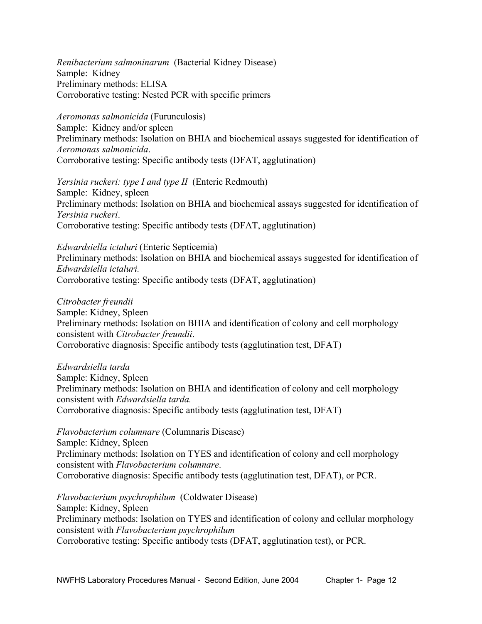*Renibacterium salmoninarum* (Bacterial Kidney Disease) Sample: Kidney Preliminary methods: ELISA Corroborative testing: Nested PCR with specific primers

*Aeromonas salmonicida* (Furunculosis) Sample: Kidney and/or spleen Preliminary methods: Isolation on BHIA and biochemical assays suggested for identification of *Aeromonas salmonicida*. Corroborative testing: Specific antibody tests (DFAT, agglutination)

*Yersinia ruckeri: type I and type II* (Enteric Redmouth) Sample: Kidney, spleen Preliminary methods: Isolation on BHIA and biochemical assays suggested for identification of *Yersinia ruckeri*. Corroborative testing: Specific antibody tests (DFAT, agglutination)

*Edwardsiella ictaluri* (Enteric Septicemia) Preliminary methods: Isolation on BHIA and biochemical assays suggested for identification of *Edwardsiella ictaluri.* Corroborative testing: Specific antibody tests (DFAT, agglutination)

*Citrobacter freundii*  Sample: Kidney, Spleen Preliminary methods: Isolation on BHIA and identification of colony and cell morphology consistent with *Citrobacter freundii*. Corroborative diagnosis: Specific antibody tests (agglutination test, DFAT)

*Edwardsiella tarda*  Sample: Kidney, Spleen Preliminary methods: Isolation on BHIA and identification of colony and cell morphology consistent with *Edwardsiella tarda.* Corroborative diagnosis: Specific antibody tests (agglutination test, DFAT)

*Flavobacterium columnare* (Columnaris Disease) Sample: Kidney, Spleen Preliminary methods: Isolation on TYES and identification of colony and cell morphology consistent with *Flavobacterium columnare*. Corroborative diagnosis: Specific antibody tests (agglutination test, DFAT), or PCR.

*Flavobacterium psychrophilum* (Coldwater Disease) Sample: Kidney, Spleen Preliminary methods: Isolation on TYES and identification of colony and cellular morphology consistent with *Flavobacterium psychrophilum*  Corroborative testing: Specific antibody tests (DFAT, agglutination test), or PCR.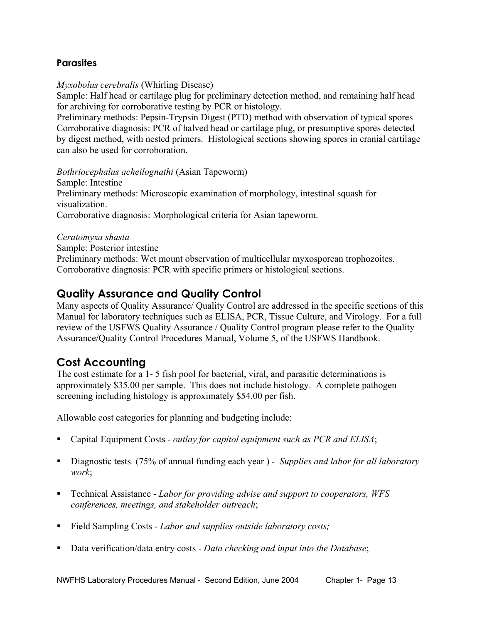#### **Parasites**

*Myxobolus cerebralis* (Whirling Disease)

Sample: Half head or cartilage plug for preliminary detection method, and remaining half head for archiving for corroborative testing by PCR or histology.

Preliminary methods: Pepsin-Trypsin Digest (PTD) method with observation of typical spores Corroborative diagnosis: PCR of halved head or cartilage plug, or presumptive spores detected by digest method, with nested primers. Histological sections showing spores in cranial cartilage can also be used for corroboration.

*Bothriocephalus acheilognathi* (Asian Tapeworm)

Sample: Intestine Preliminary methods: Microscopic examination of morphology, intestinal squash for visualization. Corroborative diagnosis: Morphological criteria for Asian tapeworm.

*Ceratomyxa shasta*

Sample: Posterior intestine

Preliminary methods: Wet mount observation of multicellular myxosporean trophozoites. Corroborative diagnosis: PCR with specific primers or histological sections.

### **Quality Assurance and Quality Control**

Many aspects of Quality Assurance/ Quality Control are addressed in the specific sections of this Manual for laboratory techniques such as ELISA, PCR, Tissue Culture, and Virology. For a full review of the USFWS Quality Assurance / Quality Control program please refer to the Quality Assurance/Quality Control Procedures Manual, Volume 5, of the USFWS Handbook.

### **Cost Accounting**

The cost estimate for a 1- 5 fish pool for bacterial, viral, and parasitic determinations is approximately \$35.00 per sample. This does not include histology. A complete pathogen screening including histology is approximately \$54.00 per fish.

Allowable cost categories for planning and budgeting include:

- Capital Equipment Costs *outlay for capitol equipment such as PCR and ELISA*;
- Diagnostic tests (75% of annual funding each year )  *Supplies and labor for all laboratory work*;
- Technical Assistance *Labor for providing advise and support to cooperators, WFS conferences, meetings, and stakeholder outreach*;
- Field Sampling Costs *Labor and supplies outside laboratory costs;*
- Data verification/data entry costs *Data checking and input into the Database*;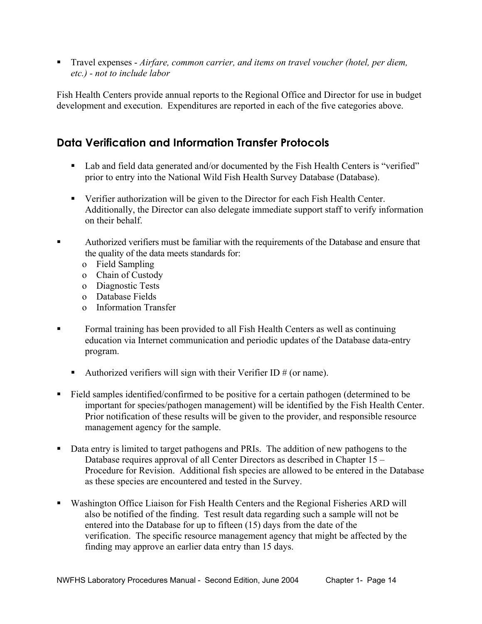■ Travel expenses *- Airfare, common carrier, and items on travel voucher (hotel, per diem, etc.) - not to include labor*

Fish Health Centers provide annual reports to the Regional Office and Director for use in budget development and execution. Expenditures are reported in each of the five categories above.

### **Data Verification and Information Transfer Protocols**

- Lab and field data generated and/or documented by the Fish Health Centers is "verified" prior to entry into the National Wild Fish Health Survey Database (Database).
- Verifier authorization will be given to the Director for each Fish Health Center. Additionally, the Director can also delegate immediate support staff to verify information on their behalf.
- Authorized verifiers must be familiar with the requirements of the Database and ensure that the quality of the data meets standards for:
	- o Field Sampling
	- o Chain of Custody
	- o Diagnostic Tests
	- o Database Fields
	- o Information Transfer
- Formal training has been provided to all Fish Health Centers as well as continuing education via Internet communication and periodic updates of the Database data-entry program.
	- Authorized verifiers will sign with their Verifier ID  $#$  (or name).
- Field samples identified/confirmed to be positive for a certain pathogen (determined to be important for species/pathogen management) will be identified by the Fish Health Center. Prior notification of these results will be given to the provider, and responsible resource management agency for the sample.
- Data entry is limited to target pathogens and PRIs. The addition of new pathogens to the Database requires approval of all Center Directors as described in Chapter 15 – Procedure for Revision. Additional fish species are allowed to be entered in the Database as these species are encountered and tested in the Survey.
- Washington Office Liaison for Fish Health Centers and the Regional Fisheries ARD will also be notified of the finding. Test result data regarding such a sample will not be entered into the Database for up to fifteen (15) days from the date of the verification. The specific resource management agency that might be affected by the finding may approve an earlier data entry than 15 days.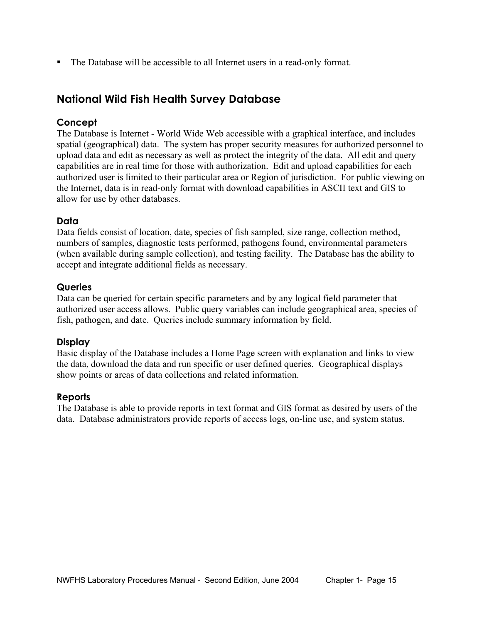The Database will be accessible to all Internet users in a read-only format.

### **National Wild Fish Health Survey Database**

#### **Concept**

The Database is Internet - World Wide Web accessible with a graphical interface, and includes spatial (geographical) data. The system has proper security measures for authorized personnel to upload data and edit as necessary as well as protect the integrity of the data. All edit and query capabilities are in real time for those with authorization. Edit and upload capabilities for each authorized user is limited to their particular area or Region of jurisdiction. For public viewing on the Internet, data is in read-only format with download capabilities in ASCII text and GIS to allow for use by other databases.

#### **Data**

Data fields consist of location, date, species of fish sampled, size range, collection method, numbers of samples, diagnostic tests performed, pathogens found, environmental parameters (when available during sample collection), and testing facility. The Database has the ability to accept and integrate additional fields as necessary.

#### **Queries**

Data can be queried for certain specific parameters and by any logical field parameter that authorized user access allows. Public query variables can include geographical area, species of fish, pathogen, and date. Queries include summary information by field.

#### **Display**

Basic display of the Database includes a Home Page screen with explanation and links to view the data, download the data and run specific or user defined queries. Geographical displays show points or areas of data collections and related information.

#### **Reports**

The Database is able to provide reports in text format and GIS format as desired by users of the data. Database administrators provide reports of access logs, on-line use, and system status.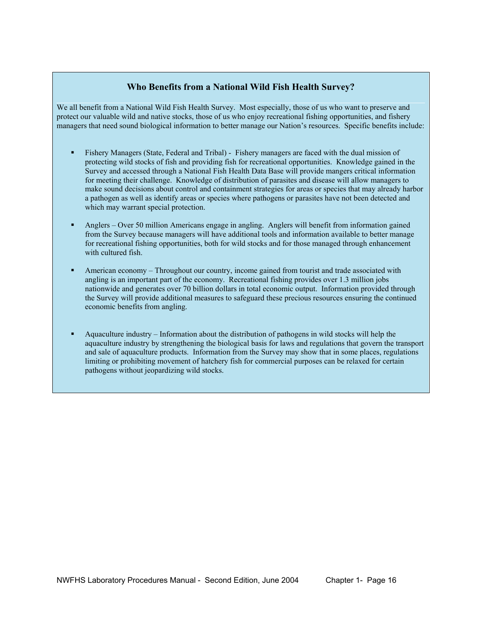#### **Who Benefits from a National Wild Fish Health Survey?**

We all benefit from a National Wild Fish Health Survey. Most especially, those of us who want to preserve and protect our valuable wild and native stocks, those of us who enjoy recreational fishing opportunities, and fishery managers that need sound biological information to better manage our Nation's resources. Specific benefits include:

- Fishery Managers (State, Federal and Tribal) Fishery managers are faced with the dual mission of protecting wild stocks of fish and providing fish for recreational opportunities. Knowledge gained in the Survey and accessed through a National Fish Health Data Base will provide mangers critical information for meeting their challenge. Knowledge of distribution of parasites and disease will allow managers to make sound decisions about control and containment strategies for areas or species that may already harbor a pathogen as well as identify areas or species where pathogens or parasites have not been detected and which may warrant special protection.
- Anglers Over 50 million Americans engage in angling. Anglers will benefit from information gained from the Survey because managers will have additional tools and information available to better manage for recreational fishing opportunities, both for wild stocks and for those managed through enhancement with cultured fish.
- American economy Throughout our country, income gained from tourist and trade associated with angling is an important part of the economy. Recreational fishing provides over 1.3 million jobs nationwide and generates over 70 billion dollars in total economic output. Information provided through the Survey will provide additional measures to safeguard these precious resources ensuring the continued economic benefits from angling.
- Aquaculture industry Information about the distribution of pathogens in wild stocks will help the aquaculture industry by strengthening the biological basis for laws and regulations that govern the transport and sale of aquaculture products. Information from the Survey may show that in some places, regulations limiting or prohibiting movement of hatchery fish for commercial purposes can be relaxed for certain pathogens without jeopardizing wild stocks.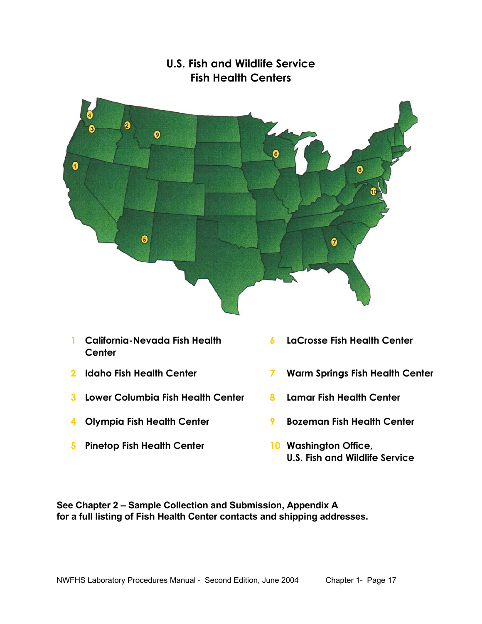

## **U.S. Fish and Wildlife Service Fish Health Centers**

- **1 California-Nevada Fish Health Center**
- 
- **3 Lower Columbia Fish Health Center 8 Lamar Fish Health Center**
- 
- **5 Pinetop Fish Health Center 10 Washington Office,**
- **6 LaCrosse Fish Health Center**
- **2 Idaho Fish Health Center 7 Warm Springs Fish Health Center** 
	-
- **4 Olympia Fish Health Center 9 Bozeman Fish Health Center** 
	- **U.S. Fish and Wildlife Service**

**See Chapter 2 – Sample Collection and Submission, Appendix A for a full listing of Fish Health Center contacts and shipping addresses.**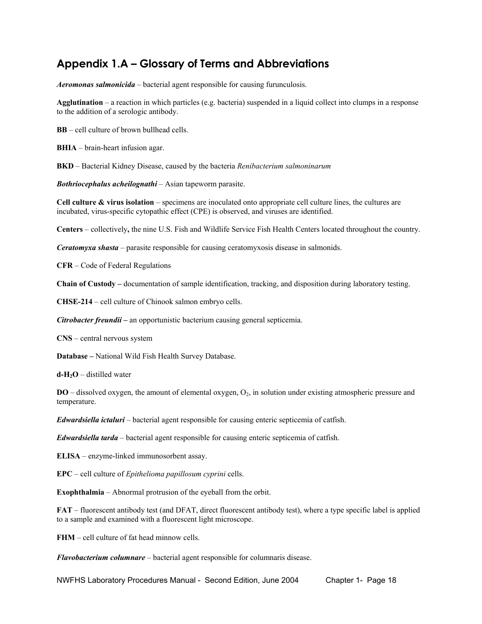## **Appendix 1.A – Glossary of Terms and Abbreviations**

*Aeromonas salmonicida* – bacterial agent responsible for causing furunculosis.

**Agglutination** – a reaction in which particles (e.g. bacteria) suspended in a liquid collect into clumps in a response to the addition of a serologic antibody.

**BB** – cell culture of brown bullhead cells.

**BHIA** – brain-heart infusion agar.

**BKD** – Bacterial Kidney Disease, caused by the bacteria *Renibacterium salmoninarum*

*Bothriocephalus acheilognathi* – Asian tapeworm parasite.

**Cell culture & virus isolation** – specimens are inoculated onto appropriate cell culture lines, the cultures are incubated, virus-specific cytopathic effect (CPE) is observed, and viruses are identified.

**Centers** – collectively**,** the nine U.S. Fish and Wildlife Service Fish Health Centers located throughout the country.

*Ceratomyxa shasta* – parasite responsible for causing ceratomyxosis disease in salmonids.

**CFR** – Code of Federal Regulations

**Chain of Custody –** documentation of sample identification, tracking, and disposition during laboratory testing.

**CHSE-214** – cell culture of Chinook salmon embryo cells.

*Citrobacter freundii –* an opportunistic bacterium causing general septicemia.

**CNS** – central nervous system

**Database –** National Wild Fish Health Survey Database.

 $d - H_2O$  – distilled water

**DO** – dissolved oxygen, the amount of elemental oxygen, O<sub>2</sub>, in solution under existing atmospheric pressure and temperature.

*Edwardsiella ictaluri* – bacterial agent responsible for causing enteric septicemia of catfish.

*Edwardsiella tarda* – bacterial agent responsible for causing enteric septicemia of catfish.

**ELISA** – enzyme-linked immunosorbent assay.

**EPC** – cell culture of *Epithelioma papillosum cyprini* cells.

**Exophthalmia** – Abnormal protrusion of the eyeball from the orbit.

**FAT** – fluorescent antibody test (and DFAT, direct fluorescent antibody test), where a type specific label is applied to a sample and examined with a fluorescent light microscope.

**FHM** – cell culture of fat head minnow cells.

*Flavobacterium columnare* – bacterial agent responsible for columnaris disease.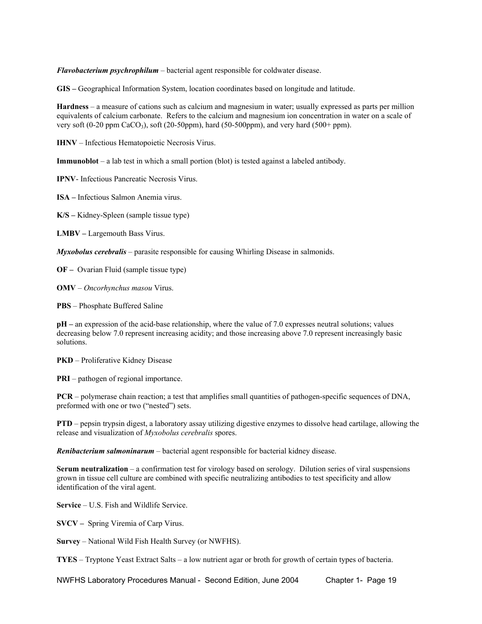*Flavobacterium psychrophilum* – bacterial agent responsible for coldwater disease.

**GIS –** Geographical Information System, location coordinates based on longitude and latitude.

**Hardness** – a measure of cations such as calcium and magnesium in water; usually expressed as parts per million equivalents of calcium carbonate. Refers to the calcium and magnesium ion concentration in water on a scale of very soft  $(0-20 \text{ ppm } \text{CaCO}_3)$ , soft  $(20-50 \text{ ppm})$ , hard  $(50-500 \text{ ppm})$ , and very hard  $(500+\text{ ppm})$ .

**IHNV** – Infectious Hematopoietic Necrosis Virus.

**Immunoblot** – a lab test in which a small portion (blot) is tested against a labeled antibody.

**IPNV**- Infectious Pancreatic Necrosis Virus.

**ISA –** Infectious Salmon Anemia virus.

**K/S –** Kidney-Spleen (sample tissue type)

**LMBV –** Largemouth Bass Virus.

*Myxobolus cerebralis* – parasite responsible for causing Whirling Disease in salmonids.

**OF –** Ovarian Fluid (sample tissue type)

**OMV** – *Oncorhynchus masou* Virus.

**PBS** – Phosphate Buffered Saline

**pH –** an expression of the acid-base relationship, where the value of 7.0 expresses neutral solutions; values decreasing below 7.0 represent increasing acidity; and those increasing above 7.0 represent increasingly basic solutions.

**PKD** – Proliferative Kidney Disease

**PRI** – pathogen of regional importance.

**PCR** – polymerase chain reaction; a test that amplifies small quantities of pathogen-specific sequences of DNA, preformed with one or two ("nested") sets.

**PTD** – pepsin trypsin digest, a laboratory assay utilizing digestive enzymes to dissolve head cartilage, allowing the release and visualization of *Myxobolus cerebralis* spores.

*Renibacterium salmoninarum* – bacterial agent responsible for bacterial kidney disease.

**Serum neutralization** – a confirmation test for virology based on serology. Dilution series of viral suspensions grown in tissue cell culture are combined with specific neutralizing antibodies to test specificity and allow identification of the viral agent.

**Service** – U.S. Fish and Wildlife Service.

**SVCV –** Spring Viremia of Carp Virus.

**Survey** – National Wild Fish Health Survey (or NWFHS).

**TYES** – Tryptone Yeast Extract Salts – a low nutrient agar or broth for growth of certain types of bacteria.

NWFHS Laboratory Procedures Manual - Second Edition, June 2004 Chapter 1- Page 19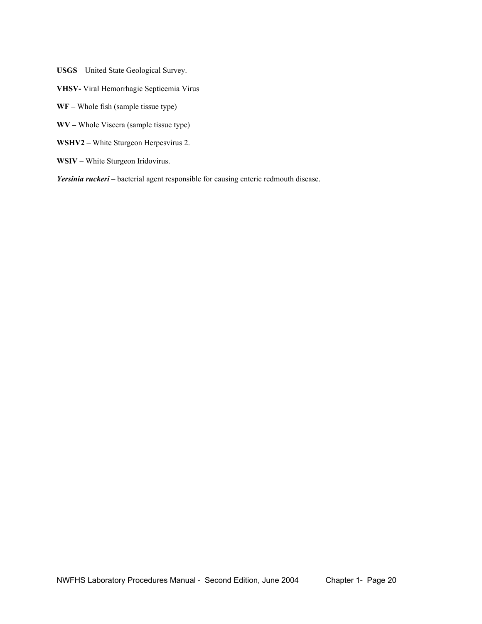**USGS** – United State Geological Survey.

**VHSV-** Viral Hemorrhagic Septicemia Virus

**WF –** Whole fish (sample tissue type)

**WV –** Whole Viscera (sample tissue type)

**WSHV2** – White Sturgeon Herpesvirus 2.

**WSIV** – White Sturgeon Iridovirus.

*Yersinia ruckeri* – bacterial agent responsible for causing enteric redmouth disease.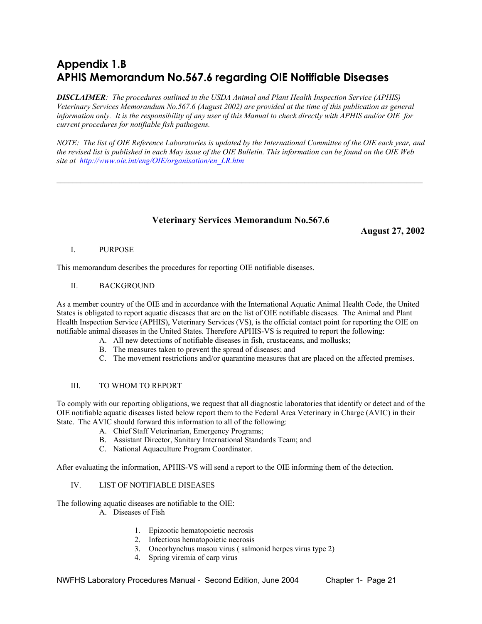# **Appendix 1.B APHIS Memorandum No.567.6 regarding OIE Notifiable Diseases**

*DISCLAIMER: The procedures outlined in the USDA Animal and Plant Health Inspection Service (APHIS) Veterinary Services Memorandum No.567.6 (August 2002) are provided at the time of this publication as general information only. It is the responsibility of any user of this Manual to check directly with APHIS and/or OIE for current procedures for notifiable fish pathogens.* 

*NOTE: The list of OIE Reference Laboratories is updated by the International Committee of the OIE each year, and the revised list is published in each May issue of the OIE Bulletin. This information can be found on the OIE Web site at http://www.oie.int/eng/OIE/organisation/en\_LR.htm*

 $\mathcal{L}_\mathcal{L} = \mathcal{L}_\mathcal{L}$ 

#### **Veterinary Services Memorandum No.567.6**

**August 27, 2002** 

#### I. PURPOSE

This memorandum describes the procedures for reporting OIE notifiable diseases.

#### II. BACKGROUND

As a member country of the OIE and in accordance with the International Aquatic Animal Health Code, the United States is obligated to report aquatic diseases that are on the list of OIE notifiable diseases. The Animal and Plant Health Inspection Service (APHIS), Veterinary Services (VS), is the official contact point for reporting the OIE on notifiable animal diseases in the United States. Therefore APHIS-VS is required to report the following:

- A. All new detections of notifiable diseases in fish, crustaceans, and mollusks;
- B. The measures taken to prevent the spread of diseases; and
- C. The movement restrictions and/or quarantine measures that are placed on the affected premises.

#### III. TO WHOM TO REPORT

To comply with our reporting obligations, we request that all diagnostic laboratories that identify or detect and of the OIE notifiable aquatic diseases listed below report them to the Federal Area Veterinary in Charge (AVIC) in their State. The AVIC should forward this information to all of the following:

- A. Chief Staff Veterinarian, Emergency Programs;
- B. Assistant Director, Sanitary International Standards Team; and
- C. National Aquaculture Program Coordinator.

After evaluating the information, APHIS-VS will send a report to the OIE informing them of the detection.

#### IV. LIST OF NOTIFIABLE DISEASES

The following aquatic diseases are notifiable to the OIE:

- A. Diseases of Fish
	- 1. Epizootic hematopoietic necrosis
	- 2. Infectious hematopoietic necrosis
	- 3. Oncorhynchus masou virus ( salmonid herpes virus type 2)
	- 4. Spring viremia of carp virus